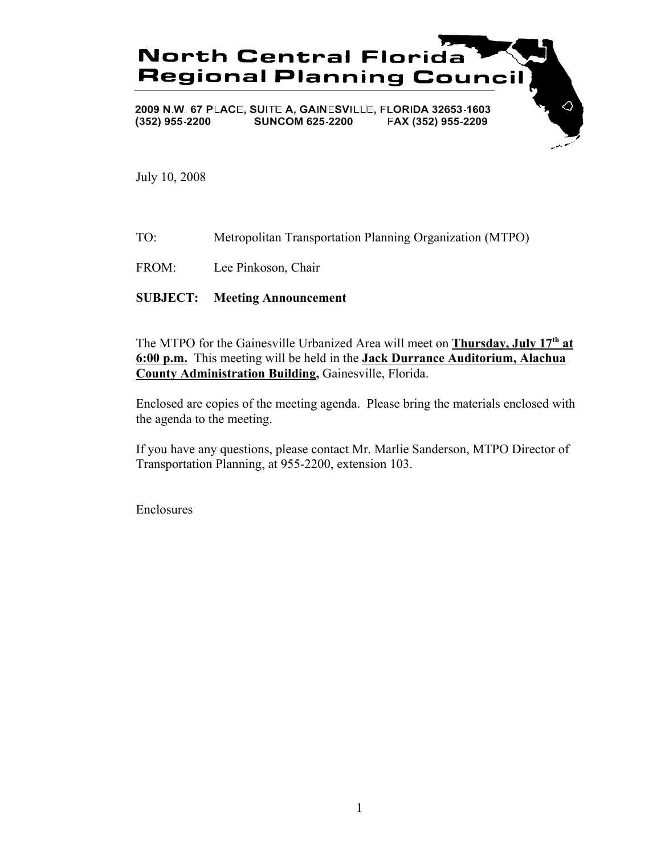

July 10, 2008

- TO: Metropolitan Transportation Planning Organization (MTPO)
- FROM: Lee Pinkoson, Chair

## **SUBJECT: Meeting Announcement**

The MTPO for the Gainesville Urbanized Area will meet on **Thursday, July 17th at 6:00 p.m.** This meeting will be held in the **Jack Durrance Auditorium, Alachua County Administration Building,** Gainesville, Florida.

Enclosed are copies of the meeting agenda. Please bring the materials enclosed with the agenda to the meeting.

If you have any questions, please contact Mr. Marlie Sanderson, MTPO Director of Transportation Planning, at 955-2200, extension 103.

Enclosures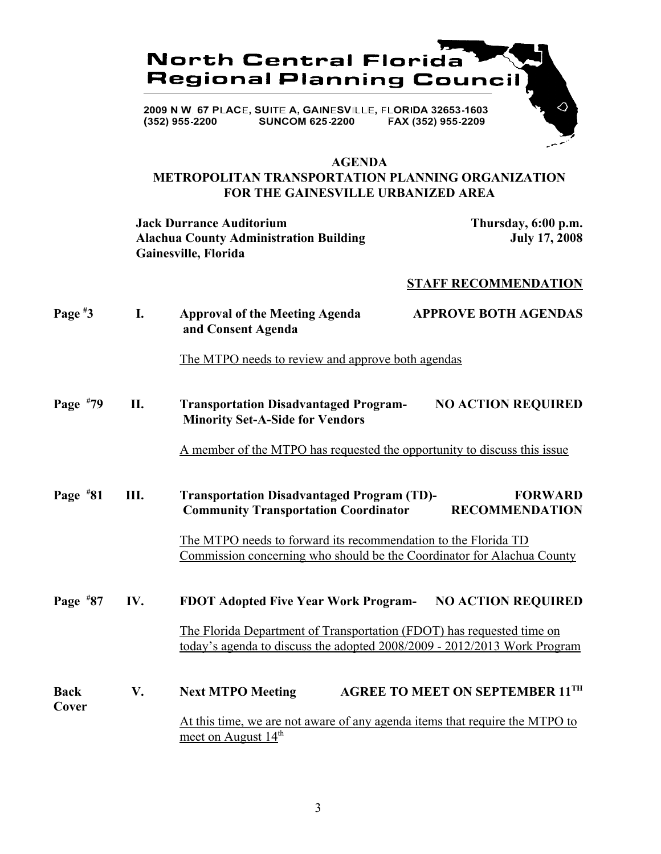

#### **AGENDA**

# **METROPOLITAN TRANSPORTATION PLANNING ORGANIZATION FOR THE GAINESVILLE URBANIZED AREA**

**Jack Durrance Auditorium Thursday, 6:00 p.m.** Alachua County Administration Building **July 17, 2008 Gainesville, Florida**

#### **STAFF RECOMMENDATION**

| Page $*3$            | I.  | <b>Approval of the Meeting Agenda</b><br><b>APPROVE BOTH AGENDAS</b><br>and Consent Agenda                                                        |  |  |
|----------------------|-----|---------------------------------------------------------------------------------------------------------------------------------------------------|--|--|
|                      |     | The MTPO needs to review and approve both agendas                                                                                                 |  |  |
| Page $*79$           | П.  | <b>NO ACTION REQUIRED</b><br><b>Transportation Disadvantaged Program-</b><br><b>Minority Set-A-Side for Vendors</b>                               |  |  |
|                      |     | A member of the MTPO has requested the opportunity to discuss this issue                                                                          |  |  |
| Page #81             | Ш.  | <b>Transportation Disadvantaged Program (TD)-</b><br><b>FORWARD</b><br><b>Community Transportation Coordinator</b><br><b>RECOMMENDATION</b>       |  |  |
|                      |     | The MTPO needs to forward its recommendation to the Florida TD<br>Commission concerning who should be the Coordinator for Alachua County          |  |  |
| Page $*87$           | IV. | <b>FDOT Adopted Five Year Work Program-</b><br><b>NO ACTION REQUIRED</b>                                                                          |  |  |
|                      |     | The Florida Department of Transportation (FDOT) has requested time on<br>today's agenda to discuss the adopted 2008/2009 - 2012/2013 Work Program |  |  |
| <b>Back</b><br>Cover | V.  | <b>AGREE TO MEET ON SEPTEMBER 11TH</b><br><b>Next MTPO Meeting</b>                                                                                |  |  |
|                      |     | At this time, we are not aware of any agenda items that require the MTPO to<br>meet on August $14th$                                              |  |  |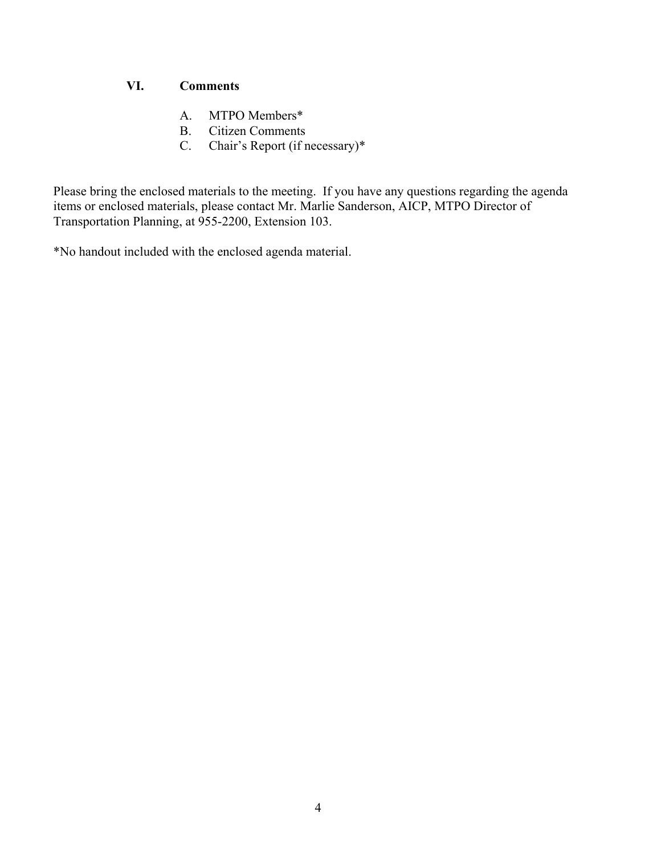# **VI. Comments**

- A. MTPO Members\*
- B. Citizen Comments
- C. Chair's Report (if necessary)\*

Please bring the enclosed materials to the meeting. If you have any questions regarding the agenda items or enclosed materials, please contact Mr. Marlie Sanderson, AICP, MTPO Director of Transportation Planning, at 955-2200, Extension 103.

\*No handout included with the enclosed agenda material.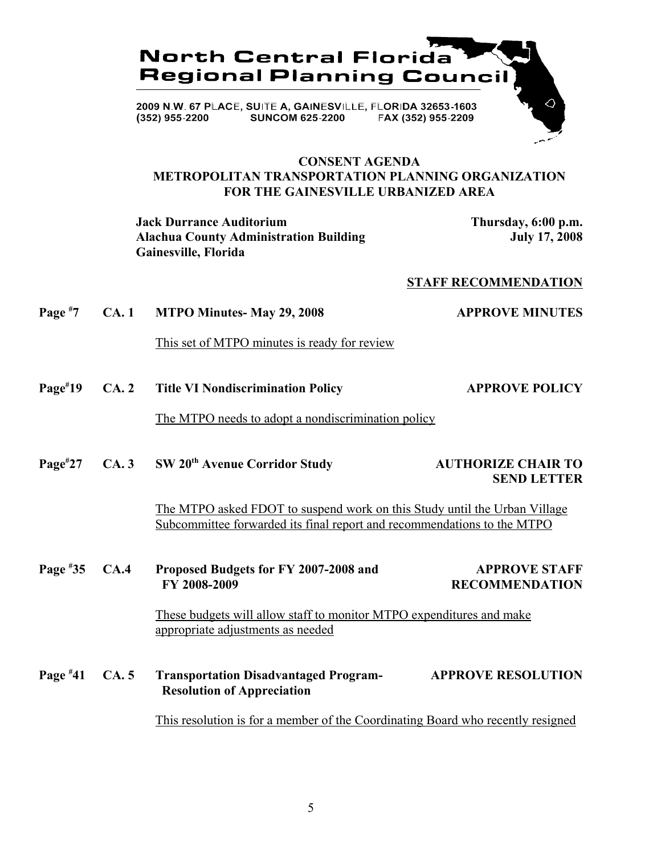

## **CONSENT AGENDA METROPOLITAN TRANSPORTATION PLANNING ORGANIZATION FOR THE GAINESVILLE URBANIZED AREA**

**Jack Durrance Auditorium Thursday, 6:00 p.m.** Alachua County Administration Building **July 17, 2008 Gainesville, Florida**

#### **STAFF RECOMMENDATION**

| Page $*7$            | CA.1 | <b>MTPO Minutes-May 29, 2008</b>                                                                                                                     | <b>APPROVE MINUTES</b>                          |
|----------------------|------|------------------------------------------------------------------------------------------------------------------------------------------------------|-------------------------------------------------|
|                      |      | This set of MTPO minutes is ready for review                                                                                                         |                                                 |
| Page <sup>#</sup> 19 | CA.2 | <b>Title VI Nondiscrimination Policy</b>                                                                                                             | <b>APPROVE POLICY</b>                           |
|                      |      | The MTPO needs to adopt a nondiscrimination policy                                                                                                   |                                                 |
| Page <sup>#27</sup>  | CA.3 | SW 20 <sup>th</sup> Avenue Corridor Study                                                                                                            | <b>AUTHORIZE CHAIR TO</b><br><b>SEND LETTER</b> |
|                      |      | The MTPO asked FDOT to suspend work on this Study until the Urban Village<br>Subcommittee forwarded its final report and recommendations to the MTPO |                                                 |
| Page $*35$           | CA.4 | Proposed Budgets for FY 2007-2008 and<br>FY 2008-2009                                                                                                | <b>APPROVE STAFF</b><br><b>RECOMMENDATION</b>   |
|                      |      | These budgets will allow staff to monitor MTPO expenditures and make<br>appropriate adjustments as needed                                            |                                                 |
| Page $*41$           | CA.5 | <b>Transportation Disadvantaged Program-</b><br><b>Resolution of Appreciation</b>                                                                    | <b>APPROVE RESOLUTION</b>                       |
|                      |      | This resolution is for a member of the Coordinating Board who recently resigned                                                                      |                                                 |